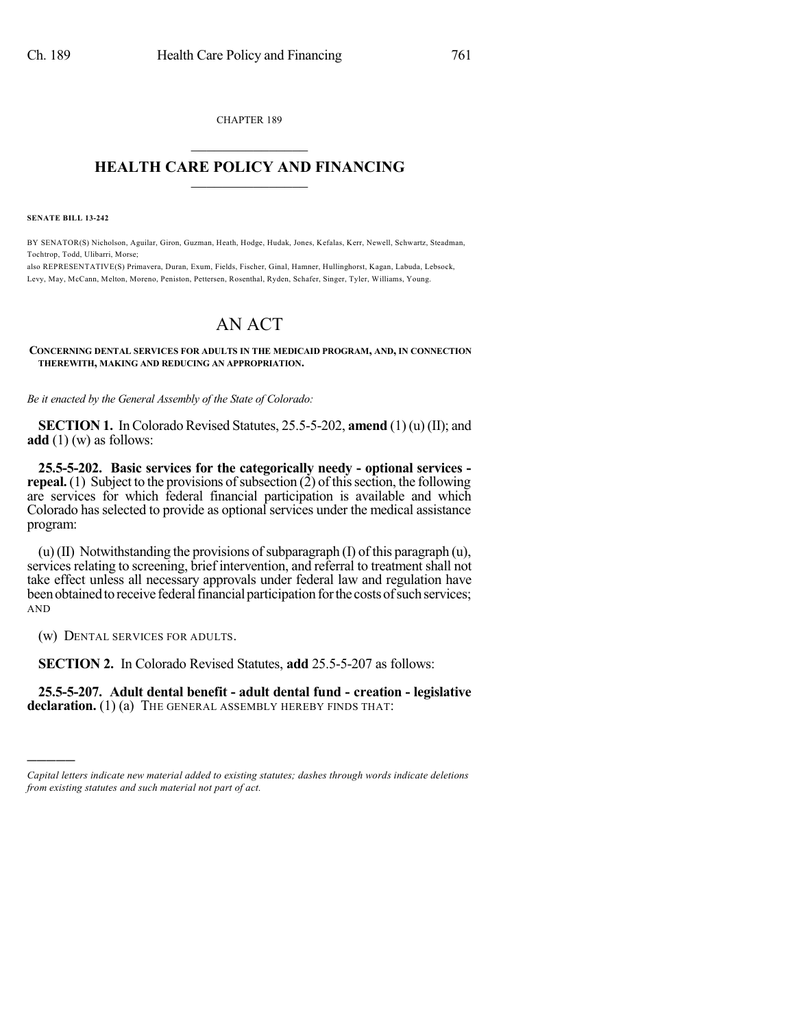CHAPTER 189  $\mathcal{L}_\text{max}$  . The set of the set of the set of the set of the set of the set of the set of the set of the set of the set of the set of the set of the set of the set of the set of the set of the set of the set of the set

## **HEALTH CARE POLICY AND FINANCING**  $\_$   $\_$   $\_$   $\_$   $\_$   $\_$   $\_$   $\_$

**SENATE BILL 13-242**

BY SENATOR(S) Nicholson, Aguilar, Giron, Guzman, Heath, Hodge, Hudak, Jones, Kefalas, Kerr, Newell, Schwartz, Steadman, Tochtrop, Todd, Ulibarri, Morse;

also REPRESENTATIVE(S) Primavera, Duran, Exum, Fields, Fischer, Ginal, Hamner, Hullinghorst, Kagan, Labuda, Lebsock, Levy, May, McCann, Melton, Moreno, Peniston, Pettersen, Rosenthal, Ryden, Schafer, Singer, Tyler, Williams, Young.

## AN ACT

## **CONCERNING DENTAL SERVICES FOR ADULTS IN THE MEDICAID PROGRAM, AND, IN CONNECTION THEREWITH, MAKING AND REDUCING AN APPROPRIATION.**

*Be it enacted by the General Assembly of the State of Colorado:*

**SECTION 1.** In Colorado Revised Statutes, 25.5-5-202, **amend** (1) (u) (II); and **add** (1) (w) as follows:

**25.5-5-202. Basic services for the categorically needy - optional services repeal.** (1) Subject to the provisions of subsection (2) of this section, the following are services for which federal financial participation is available and which Colorado hasselected to provide as optional services under the medical assistance program:

(u)(II) Notwithstanding the provisions of subparagraph (I) of this paragraph (u), services relating to screening, brief intervention, and referral to treatment shall not take effect unless all necessary approvals under federal law and regulation have been obtained to receive federal financial participation for the costs of such services; AND

(w) DENTAL SERVICES FOR ADULTS.

)))))

**SECTION 2.** In Colorado Revised Statutes, **add** 25.5-5-207 as follows:

**25.5-5-207. Adult dental benefit - adult dental fund - creation - legislative** declaration. (1) (a) THE GENERAL ASSEMBLY HEREBY FINDS THAT:

*Capital letters indicate new material added to existing statutes; dashes through words indicate deletions from existing statutes and such material not part of act.*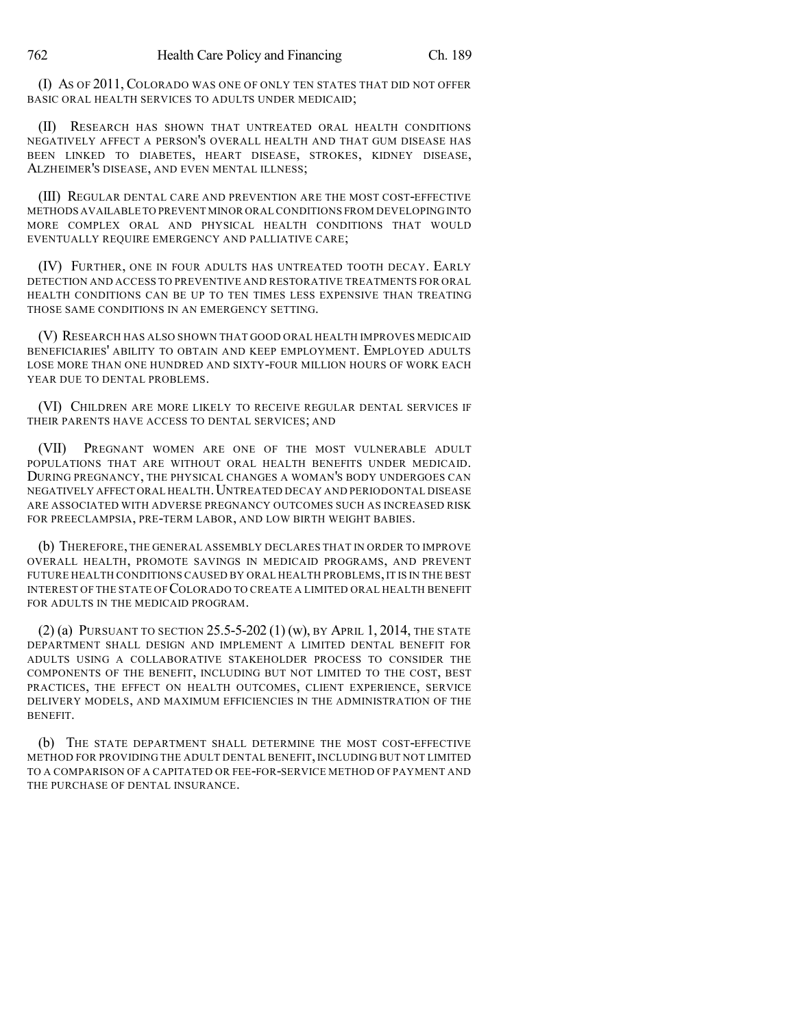(I) AS OF 2011, COLORADO WAS ONE OF ONLY TEN STATES THAT DID NOT OFFER BASIC ORAL HEALTH SERVICES TO ADULTS UNDER MEDICAID;

(II) RESEARCH HAS SHOWN THAT UNTREATED ORAL HEALTH CONDITIONS NEGATIVELY AFFECT A PERSON'S OVERALL HEALTH AND THAT GUM DISEASE HAS BEEN LINKED TO DIABETES, HEART DISEASE, STROKES, KIDNEY DISEASE, ALZHEIMER'S DISEASE, AND EVEN MENTAL ILLNESS;

(III) REGULAR DENTAL CARE AND PREVENTION ARE THE MOST COST-EFFECTIVE METHODS AVAILABLE TO PREVENT MINOR ORAL CONDITIONS FROM DEVELOPINGINTO MORE COMPLEX ORAL AND PHYSICAL HEALTH CONDITIONS THAT WOULD EVENTUALLY REQUIRE EMERGENCY AND PALLIATIVE CARE;

(IV) FURTHER, ONE IN FOUR ADULTS HAS UNTREATED TOOTH DECAY. EARLY DETECTION AND ACCESS TO PREVENTIVE AND RESTORATIVE TREATMENTS FOR ORAL HEALTH CONDITIONS CAN BE UP TO TEN TIMES LESS EXPENSIVE THAN TREATING THOSE SAME CONDITIONS IN AN EMERGENCY SETTING.

(V) RESEARCH HAS ALSO SHOWN THAT GOOD ORAL HEALTH IMPROVES MEDICAID BENEFICIARIES' ABILITY TO OBTAIN AND KEEP EMPLOYMENT. EMPLOYED ADULTS LOSE MORE THAN ONE HUNDRED AND SIXTY-FOUR MILLION HOURS OF WORK EACH YEAR DUE TO DENTAL PROBLEMS.

(VI) CHILDREN ARE MORE LIKELY TO RECEIVE REGULAR DENTAL SERVICES IF THEIR PARENTS HAVE ACCESS TO DENTAL SERVICES; AND

(VII) PREGNANT WOMEN ARE ONE OF THE MOST VULNERABLE ADULT POPULATIONS THAT ARE WITHOUT ORAL HEALTH BENEFITS UNDER MEDICAID. DURING PREGNANCY, THE PHYSICAL CHANGES A WOMAN'S BODY UNDERGOES CAN NEGATIVELY AFFECT ORAL HEALTH.UNTREATED DECAY AND PERIODONTAL DISEASE ARE ASSOCIATED WITH ADVERSE PREGNANCY OUTCOMES SUCH AS INCREASED RISK FOR PREECLAMPSIA, PRE-TERM LABOR, AND LOW BIRTH WEIGHT BABIES.

(b) THEREFORE, THE GENERAL ASSEMBLY DECLARES THAT IN ORDER TO IMPROVE OVERALL HEALTH, PROMOTE SAVINGS IN MEDICAID PROGRAMS, AND PREVENT FUTURE HEALTH CONDITIONS CAUSED BY ORAL HEALTH PROBLEMS, IT IS IN THE BEST INTEREST OF THE STATE OF COLORADO TO CREATE A LIMITED ORAL HEALTH BENEFIT FOR ADULTS IN THE MEDICAID PROGRAM.

(2) (a) PURSUANT TO SECTION  $25.5 - 5 - 202$  (1) (w), BY APRIL 1, 2014, THE STATE DEPARTMENT SHALL DESIGN AND IMPLEMENT A LIMITED DENTAL BENEFIT FOR ADULTS USING A COLLABORATIVE STAKEHOLDER PROCESS TO CONSIDER THE COMPONENTS OF THE BENEFIT, INCLUDING BUT NOT LIMITED TO THE COST, BEST PRACTICES, THE EFFECT ON HEALTH OUTCOMES, CLIENT EXPERIENCE, SERVICE DELIVERY MODELS, AND MAXIMUM EFFICIENCIES IN THE ADMINISTRATION OF THE BENEFIT.

(b) THE STATE DEPARTMENT SHALL DETERMINE THE MOST COST-EFFECTIVE METHOD FOR PROVIDING THE ADULT DENTAL BENEFIT, INCLUDING BUT NOT LIMITED TO A COMPARISON OF A CAPITATED OR FEE-FOR-SERVICE METHOD OF PAYMENT AND THE PURCHASE OF DENTAL INSURANCE.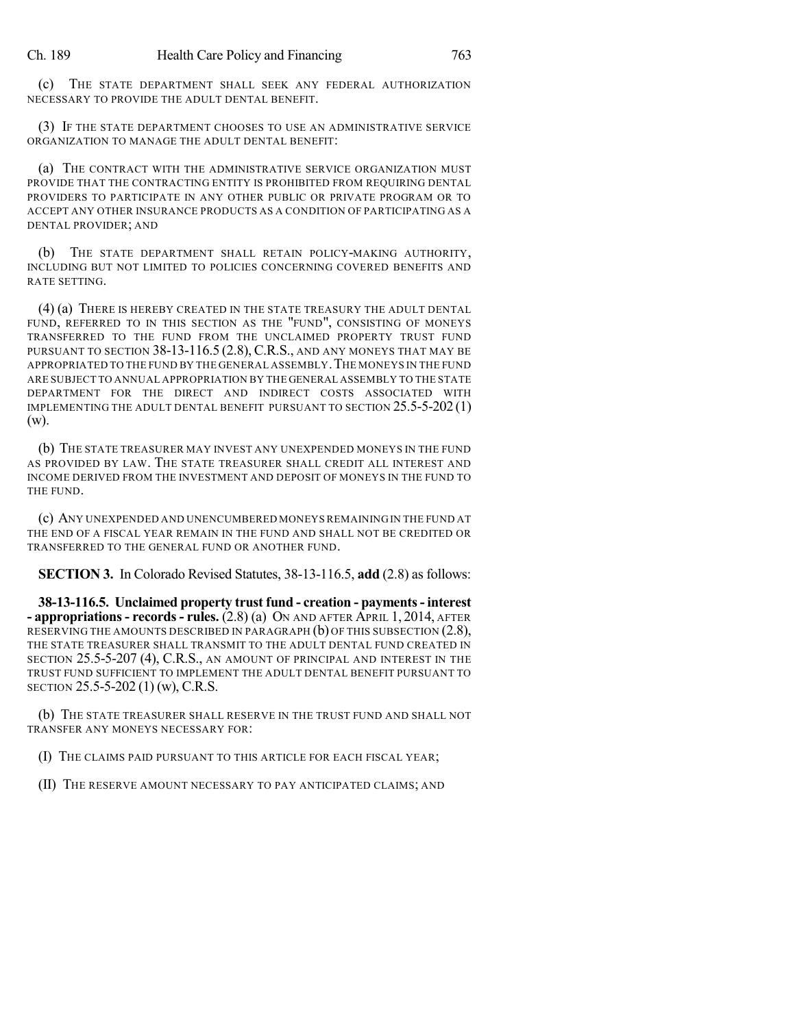(c) THE STATE DEPARTMENT SHALL SEEK ANY FEDERAL AUTHORIZATION NECESSARY TO PROVIDE THE ADULT DENTAL BENEFIT.

(3) IF THE STATE DEPARTMENT CHOOSES TO USE AN ADMINISTRATIVE SERVICE ORGANIZATION TO MANAGE THE ADULT DENTAL BENEFIT:

(a) THE CONTRACT WITH THE ADMINISTRATIVE SERVICE ORGANIZATION MUST PROVIDE THAT THE CONTRACTING ENTITY IS PROHIBITED FROM REQUIRING DENTAL PROVIDERS TO PARTICIPATE IN ANY OTHER PUBLIC OR PRIVATE PROGRAM OR TO ACCEPT ANY OTHER INSURANCE PRODUCTS AS A CONDITION OF PARTICIPATING AS A DENTAL PROVIDER; AND

(b) THE STATE DEPARTMENT SHALL RETAIN POLICY-MAKING AUTHORITY, INCLUDING BUT NOT LIMITED TO POLICIES CONCERNING COVERED BENEFITS AND RATE SETTING.

(4) (a) THERE IS HEREBY CREATED IN THE STATE TREASURY THE ADULT DENTAL FUND, REFERRED TO IN THIS SECTION AS THE "FUND", CONSISTING OF MONEYS TRANSFERRED TO THE FUND FROM THE UNCLAIMED PROPERTY TRUST FUND PURSUANT TO SECTION  $38-13-116.5$  (2.8), C.R.S., AND ANY MONEYS THAT MAY BE APPROPRIATED TO THE FUND BY THE GENERAL ASSEMBLY. THE MONEYS IN THE FUND ARE SUBJECT TO ANNUAL APPROPRIATION BY THE GENERAL ASSEMBLY TO THE STATE DEPARTMENT FOR THE DIRECT AND INDIRECT COSTS ASSOCIATED WITH IMPLEMENTING THE ADULT DENTAL BENEFIT PURSUANT TO SECTION  $25.5$ -5-202 $(1)$ (w).

(b) THE STATE TREASURER MAY INVEST ANY UNEXPENDED MONEYS IN THE FUND AS PROVIDED BY LAW. THE STATE TREASURER SHALL CREDIT ALL INTEREST AND INCOME DERIVED FROM THE INVESTMENT AND DEPOSIT OF MONEYS IN THE FUND TO THE FUND.

(c) ANY UNEXPENDED AND UNENCUMBERED MONEYS REMAINING IN THE FUND AT THE END OF A FISCAL YEAR REMAIN IN THE FUND AND SHALL NOT BE CREDITED OR TRANSFERRED TO THE GENERAL FUND OR ANOTHER FUND.

**SECTION 3.** In Colorado Revised Statutes, 38-13-116.5, **add** (2.8) as follows:

**38-13-116.5. Unclaimed property trust fund - creation - payments- interest - appropriations- records- rules.** (2.8) (a) ON AND AFTER APRIL 1, 2014, AFTER RESERVING THE AMOUNTS DESCRIBED IN PARAGRAPH (b) OF THIS SUBSECTION (2.8), THE STATE TREASURER SHALL TRANSMIT TO THE ADULT DENTAL FUND CREATED IN SECTION 25.5-5-207 (4), C.R.S., AN AMOUNT OF PRINCIPAL AND INTEREST IN THE TRUST FUND SUFFICIENT TO IMPLEMENT THE ADULT DENTAL BENEFIT PURSUANT TO SECTION 25.5-5-202 (1) (w), C.R.S.

(b) THE STATE TREASURER SHALL RESERVE IN THE TRUST FUND AND SHALL NOT TRANSFER ANY MONEYS NECESSARY FOR:

(I) THE CLAIMS PAID PURSUANT TO THIS ARTICLE FOR EACH FISCAL YEAR;

(II) THE RESERVE AMOUNT NECESSARY TO PAY ANTICIPATED CLAIMS; AND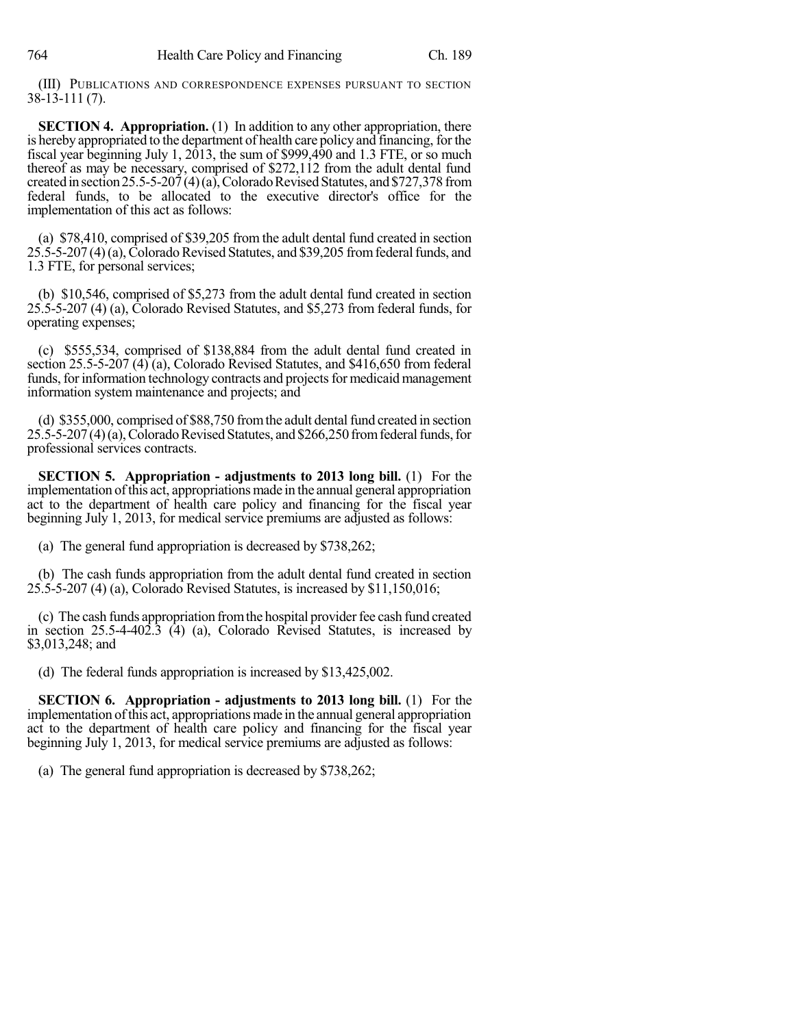(III) PUBLICATIONS AND CORRESPONDENCE EXPENSES PURSUANT TO SECTION 38-13-111 (7).

**SECTION 4. Appropriation.** (1) In addition to any other appropriation, there is hereby appropriated to the department of health care policy and financing, for the fiscal year beginning July 1, 2013, the sum of \$999,490 and 1.3 FTE, or so much thereof as may be necessary, comprised of \$272,112 from the adult dental fund created in section 25.5-5-207(4)(a), Colorado Revised Statutes, and \$727,378 from federal funds, to be allocated to the executive director's office for the implementation of this act as follows:

(a) \$78,410, comprised of \$39,205 from the adult dental fund created in section  $25.5-5-207(4)$  (a), Colorado Revised Statutes, and \$39,205 from federal funds, and 1.3 FTE, for personal services;

(b) \$10,546, comprised of \$5,273 from the adult dental fund created in section 25.5-5-207 (4) (a), Colorado Revised Statutes, and \$5,273 from federal funds, for operating expenses;

(c) \$555,534, comprised of \$138,884 from the adult dental fund created in section 25.5-5-207 (4) (a), Colorado Revised Statutes, and \$416,650 from federal funds, for information technology contracts and projects for medicaid management information system maintenance and projects; and

(d)  $$355,000$ , comprised of  $$88,750$  from the adult dental fund created in section  $25.5-5-207(4)$  (a), Colorado Revised Statutes, and \$266,250 from federal funds, for professional services contracts.

**SECTION 5. Appropriation - adjustments to 2013 long bill.** (1) For the implementation ofthis act, appropriations made in the annual general appropriation act to the department of health care policy and financing for the fiscal year beginning July 1, 2013, for medical service premiums are adjusted as follows:

(a) The general fund appropriation is decreased by \$738,262;

(b) The cash funds appropriation from the adult dental fund created in section 25.5-5-207 (4) (a), Colorado Revised Statutes, is increased by \$11,150,016;

(c) The cash funds appropriation from the hospital provider fee cash fund created in section 25.5-4-402.3 (4) (a), Colorado Revised Statutes, is increased by \$3,013,248; and

(d) The federal funds appropriation is increased by \$13,425,002.

**SECTION 6. Appropriation - adjustments to 2013 long bill.** (1) For the implementation ofthis act, appropriations made in the annual general appropriation act to the department of health care policy and financing for the fiscal year beginning July 1, 2013, for medical service premiums are adjusted as follows:

(a) The general fund appropriation is decreased by \$738,262;